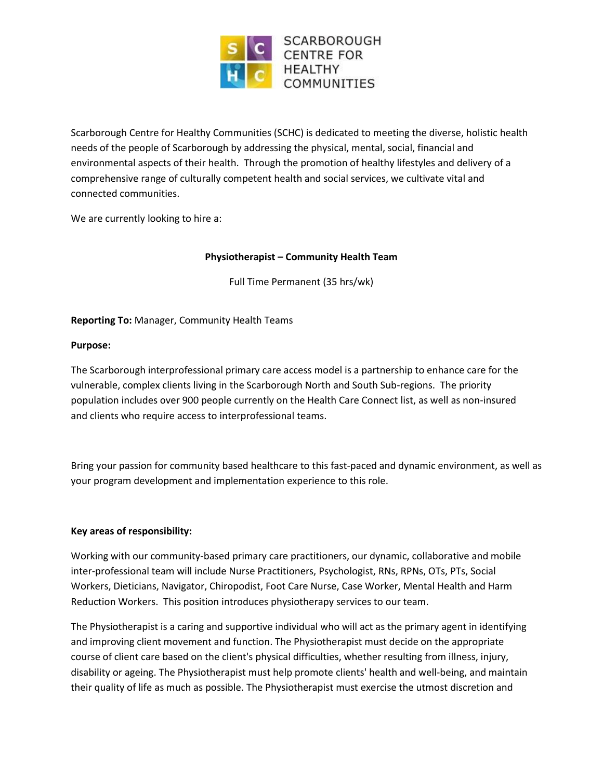

Scarborough Centre for Healthy Communities (SCHC) is dedicated to meeting the diverse, holistic health needs of the people of Scarborough by addressing the physical, mental, social, financial and environmental aspects of their health. Through the promotion of healthy lifestyles and delivery of a comprehensive range of culturally competent health and social services, we cultivate vital and connected communities.

We are currently looking to hire a:

## **Physiotherapist – Community Health Team**

Full Time Permanent (35 hrs/wk)

### **Reporting To:** Manager, Community Health Teams

### **Purpose:**

The Scarborough interprofessional primary care access model is a partnership to enhance care for the vulnerable, complex clients living in the Scarborough North and South Sub-regions. The priority population includes over 900 people currently on the Health Care Connect list, as well as non-insured and clients who require access to interprofessional teams.

Bring your passion for community based healthcare to this fast-paced and dynamic environment, as well as your program development and implementation experience to this role.

### **Key areas of responsibility:**

Working with our community-based primary care practitioners, our dynamic, collaborative and mobile inter-professional team will include Nurse Practitioners, Psychologist, RNs, RPNs, OTs, PTs, Social Workers, Dieticians, Navigator, Chiropodist, Foot Care Nurse, Case Worker, Mental Health and Harm Reduction Workers. This position introduces physiotherapy services to our team.

The Physiotherapist is a caring and supportive individual who will act as the primary agent in identifying and improving client movement and function. The Physiotherapist must decide on the appropriate course of client care based on the client's physical difficulties, whether resulting from illness, injury, disability or ageing. The Physiotherapist must help promote clients' health and well-being, and maintain their quality of life as much as possible. The Physiotherapist must exercise the utmost discretion and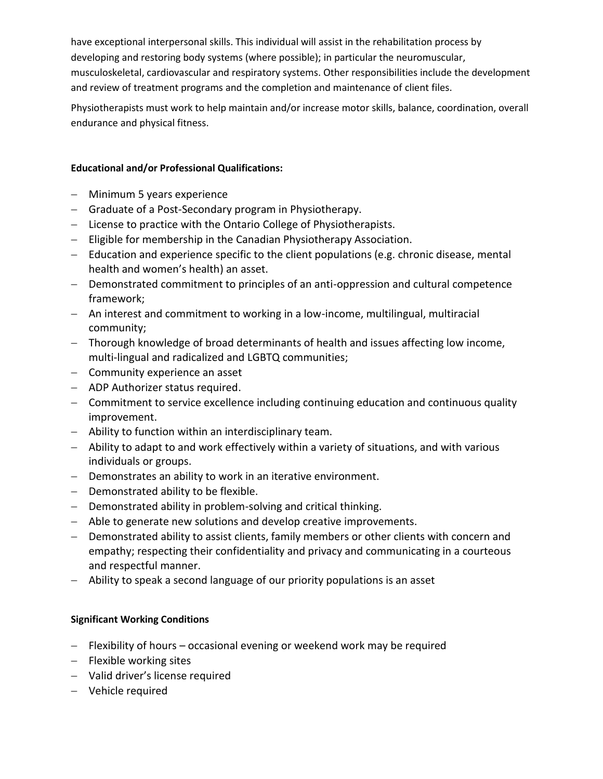have exceptional interpersonal skills. This individual will assist in the rehabilitation process by developing and restoring body systems (where possible); in particular the neuromuscular, musculoskeletal, cardiovascular and respiratory systems. Other responsibilities include the development and review of treatment programs and the completion and maintenance of client files.

Physiotherapists must work to help maintain and/or increase motor skills, balance, coordination, overall endurance and physical fitness.

## **Educational and/or Professional Qualifications:**

- Minimum 5 years experience
- Graduate of a Post-Secondary program in Physiotherapy.
- $-$  License to practice with the Ontario College of Physiotherapists.
- Eligible for membership in the Canadian Physiotherapy Association.
- Education and experience specific to the client populations (e.g. chronic disease, mental health and women's health) an asset.
- Demonstrated commitment to principles of an anti-oppression and cultural competence framework;
- An interest and commitment to working in a low-income, multilingual, multiracial community;
- Thorough knowledge of broad determinants of health and issues affecting low income, multi-lingual and radicalized and LGBTQ communities;
- Community experience an asset
- ADP Authorizer status required.
- Commitment to service excellence including continuing education and continuous quality improvement.
- Ability to function within an interdisciplinary team.
- Ability to adapt to and work effectively within a variety of situations, and with various individuals or groups.
- Demonstrates an ability to work in an iterative environment.
- $-$  Demonstrated ability to be flexible.
- Demonstrated ability in problem-solving and critical thinking.
- Able to generate new solutions and develop creative improvements.
- Demonstrated ability to assist clients, family members or other clients with concern and empathy; respecting their confidentiality and privacy and communicating in a courteous and respectful manner.
- Ability to speak a second language of our priority populations is an asset

# **Significant Working Conditions**

- $-$  Flexibility of hours occasional evening or weekend work may be required
- $-$  Flexible working sites
- Valid driver's license required
- Vehicle required